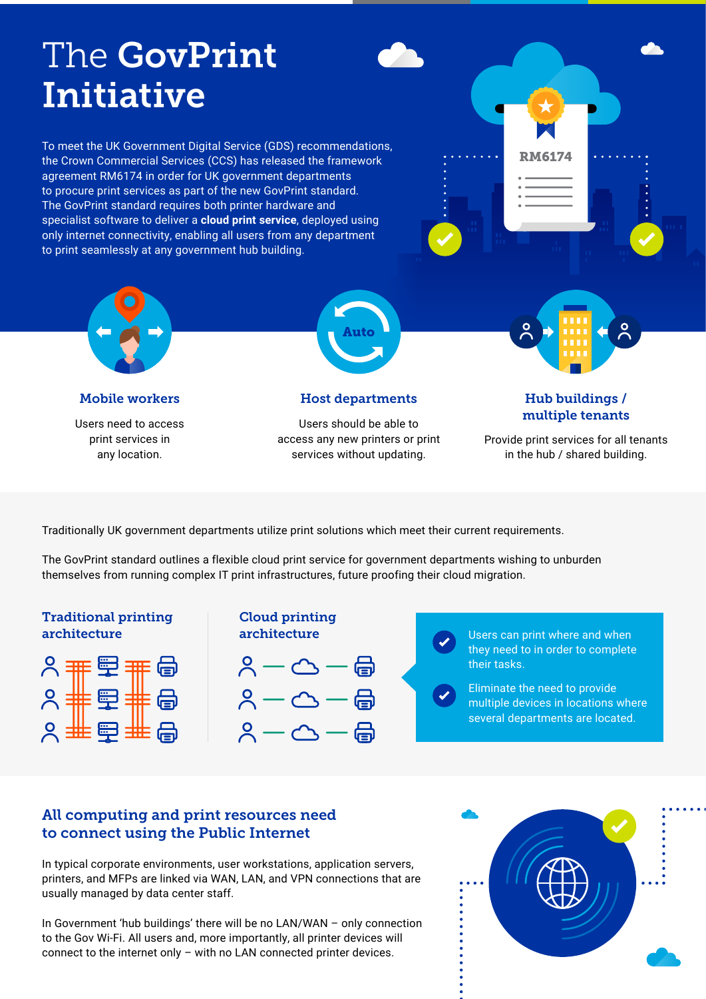# The GovPrint Initiative

To meet the UK Government Digital Service (GDS) recommendations, the Crown Commercial Services (CCS) has released the framework agreement RM6174 in order for UK government departments to procure print services as part of the new GovPrint standard. The GovPrint standard requires both printer hardware and specialist software to deliver a **cloud print service**, deployed using only internet connectivity, enabling all users from any department to print seamlessly at any government hub building.





Users need to access print services in any location.

Users should be able to access any new printers or print services without updating.

Provide print services for all tenants in the hub / shared building.

Traditionally UK government departments utilize print solutions which meet their current requirements.

The GovPrint standard outlines a flexible cloud print service for government departments wishing to unburden themselves from running complex IT print infrastructures, future proofing their cloud migration.

## Traditional printing architecture







Users can print where and when they need to in order to complete their tasks.

Eliminate the need to provide multiple devices in locations where several departments are located.

# All computing and print resources need to connect using the Public Internet

In typical corporate environments, user workstations, application servers, printers, and MFPs are linked via WAN, LAN, and VPN connections that are usually managed by data center staff.

In Government 'hub buildings' there will be no LAN/WAN – only connection to the Gov Wi-Fi. All users and, more importantly, all printer devices will connect to the internet only – with no LAN connected printer devices.